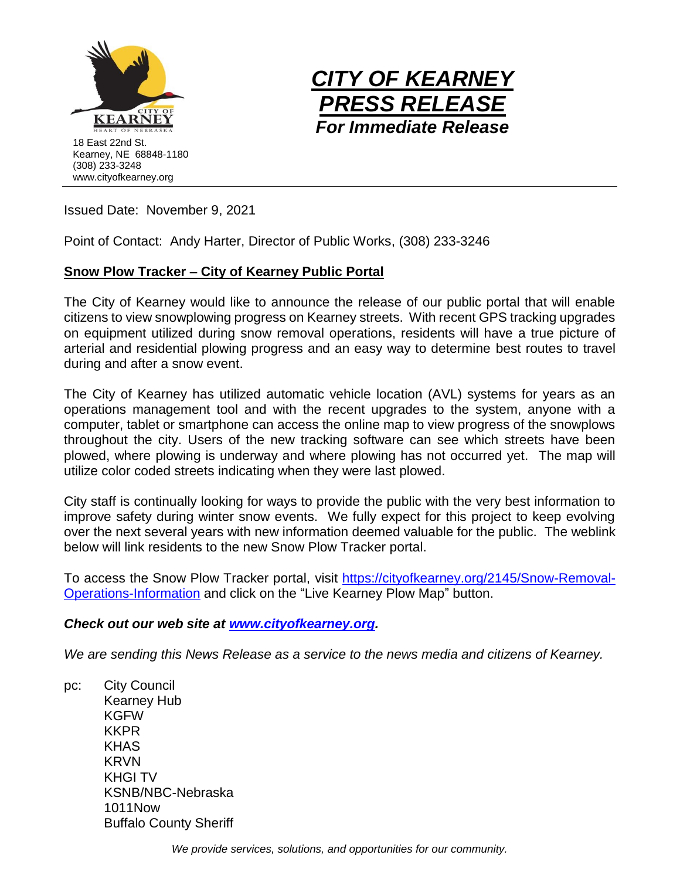



Issued Date: November 9, 2021

Point of Contact: Andy Harter, Director of Public Works, (308) 233-3246

## **Snow Plow Tracker – City of Kearney Public Portal**

The City of Kearney would like to announce the release of our public portal that will enable citizens to view snowplowing progress on Kearney streets. With recent GPS tracking upgrades on equipment utilized during snow removal operations, residents will have a true picture of arterial and residential plowing progress and an easy way to determine best routes to travel during and after a snow event.

The City of Kearney has utilized automatic vehicle location (AVL) systems for years as an operations management tool and with the recent upgrades to the system, anyone with a computer, tablet or smartphone can access the online map to view progress of the snowplows throughout the city. Users of the new tracking software can see which streets have been plowed, where plowing is underway and where plowing has not occurred yet. The map will utilize color coded streets indicating when they were last plowed.

City staff is continually looking for ways to provide the public with the very best information to improve safety during winter snow events. We fully expect for this project to keep evolving over the next several years with new information deemed valuable for the public. The weblink below will link residents to the new Snow Plow Tracker portal.

To access the Snow Plow Tracker portal, visit [https://cityofkearney.org/2145/Snow-Removal-](https://cityofkearney.org/2145/Snow-Removal-Operations-Information)[Operations-Information](https://cityofkearney.org/2145/Snow-Removal-Operations-Information) and click on the "Live Kearney Plow Map" button.

## *Check out our web site at [www.cityofkearney.org.](http://www.cityofkearney.org/)*

*We are sending this News Release as a service to the news media and citizens of Kearney.*

pc: City Council Kearney Hub KGFW KKPR KHAS KRVN KHGI TV KSNB/NBC-Nebraska 1011Now Buffalo County Sheriff

*We provide services, solutions, and opportunities for our community.*